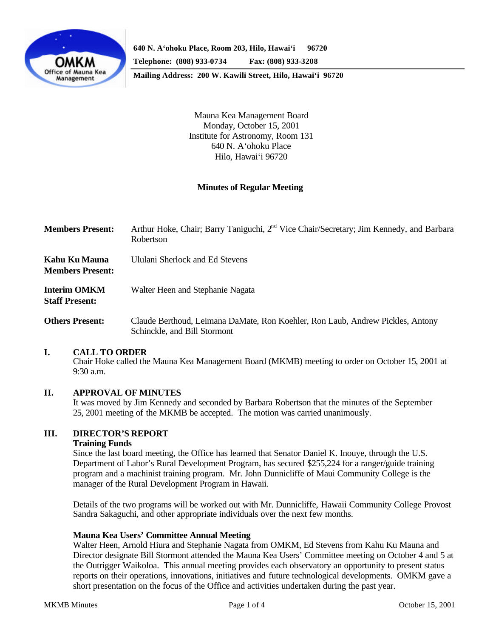

**Mailing Address: 200 W. Kawili Street, Hilo, Hawai'i 96720**

Mauna Kea Management Board Monday, October 15, 2001 Institute for Astronomy, Room 131 640 N. A'ohoku Place Hilo, Hawai'i 96720

## **Minutes of Regular Meeting**

| <b>Members Present:</b>                      | Arthur Hoke, Chair; Barry Taniguchi, 2 <sup>nd</sup> Vice Chair/Secretary; Jim Kennedy, and Barbara<br>Robertson |
|----------------------------------------------|------------------------------------------------------------------------------------------------------------------|
| Kahu Ku Mauna<br><b>Members Present:</b>     | Ululani Sherlock and Ed Stevens                                                                                  |
| <b>Interim OMKM</b><br><b>Staff Present:</b> | Walter Heen and Stephanie Nagata                                                                                 |
| <b>Others Present:</b>                       | Claude Berthoud, Leimana DaMate, Ron Koehler, Ron Laub, Andrew Pickles, Antony<br>Schinckle, and Bill Stormont   |

### **I. CALL TO ORDER**

Chair Hoke called the Mauna Kea Management Board (MKMB) meeting to order on October 15, 2001 at 9:30 a.m.

### **II. APPROVAL OF MINUTES**

It was moved by Jim Kennedy and seconded by Barbara Robertson that the minutes of the September 25, 2001 meeting of the MKMB be accepted. The motion was carried unanimously.

# **III. DIRECTOR'S REPORT**

### **Training Funds**

Since the last board meeting, the Office has learned that Senator Daniel K. Inouye, through the U.S. Department of Labor's Rural Development Program, has secured \$255,224 for a ranger/guide training program and a machinist training program. Mr. John Dunnicliffe of Maui Community College is the manager of the Rural Development Program in Hawaii.

Details of the two programs will be worked out with Mr. Dunnicliffe, Hawaii Community College Provost Sandra Sakaguchi, and other appropriate individuals over the next few months.

### **Mauna Kea Users' Committee Annual Meeting**

Walter Heen, Arnold Hiura and Stephanie Nagata from OMKM, Ed Stevens from Kahu Ku Mauna and Director designate Bill Stormont attended the Mauna Kea Users' Committee meeting on October 4 and 5 at the Outrigger Waikoloa. This annual meeting provides each observatory an opportunity to present status reports on their operations, innovations, initiatives and future technological developments. OMKM gave a short presentation on the focus of the Office and activities undertaken during the past year.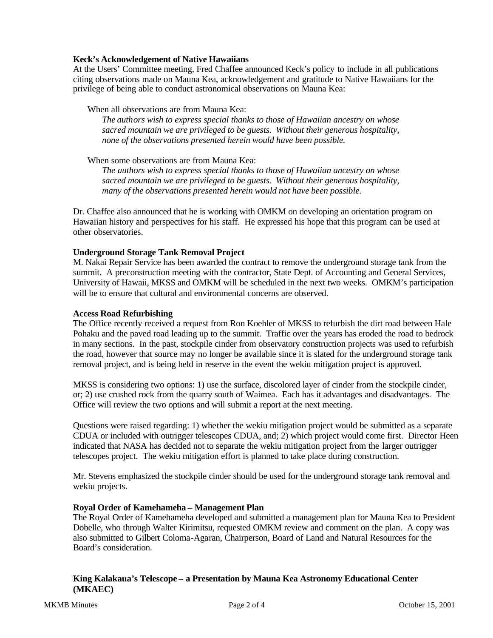## **Keck's Acknowledgement of Native Hawaiians**

At the Users' Committee meeting, Fred Chaffee announced Keck's policy to include in all publications citing observations made on Mauna Kea, acknowledgement and gratitude to Native Hawaiians for the privilege of being able to conduct astronomical observations on Mauna Kea:

## When all observations are from Mauna Kea:

*The authors wish to express special thanks to those of Hawaiian ancestry on whose sacred mountain we are privileged to be guests. Without their generous hospitality, none of the observations presented herein would have been possible.*

When some observations are from Mauna Kea:

*The authors wish to express special thanks to those of Hawaiian ancestry on whose sacred mountain we are privileged to be guests. Without their generous hospitality, many of the observations presented herein would not have been possible.*

Dr. Chaffee also announced that he is working with OMKM on developing an orientation program on Hawaiian history and perspectives for his staff. He expressed his hope that this program can be used at other observatories.

## **Underground Storage Tank Removal Project**

M. Nakai Repair Service has been awarded the contract to remove the underground storage tank from the summit. A preconstruction meeting with the contractor, State Dept. of Accounting and General Services, University of Hawaii, MKSS and OMKM will be scheduled in the next two weeks. OMKM's participation will be to ensure that cultural and environmental concerns are observed.

### **Access Road Refurbishing**

The Office recently received a request from Ron Koehler of MKSS to refurbish the dirt road between Hale Pohaku and the paved road leading up to the summit. Traffic over the years has eroded the road to bedrock in many sections. In the past, stockpile cinder from observatory construction projects was used to refurbish the road, however that source may no longer be available since it is slated for the underground storage tank removal project, and is being held in reserve in the event the wekiu mitigation project is approved.

MKSS is considering two options: 1) use the surface, discolored layer of cinder from the stockpile cinder, or; 2) use crushed rock from the quarry south of Waimea. Each has it advantages and disadvantages. The Office will review the two options and will submit a report at the next meeting.

Questions were raised regarding: 1) whether the wekiu mitigation project would be submitted as a separate CDUA or included with outrigger telescopes CDUA, and; 2) which project would come first. Director Heen indicated that NASA has decided not to separate the wekiu mitigation project from the larger outrigger telescopes project. The wekiu mitigation effort is planned to take place during construction.

Mr. Stevens emphasized the stockpile cinder should be used for the underground storage tank removal and wekiu projects.

## **Royal Order of Kamehameha – Management Plan**

The Royal Order of Kamehameha developed and submitted a management plan for Mauna Kea to President Dobelle, who through Walter Kirimitsu, requested OMKM review and comment on the plan. A copy was also submitted to Gilbert Coloma-Agaran, Chairperson, Board of Land and Natural Resources for the Board's consideration.

## **King Kalakaua's Telescope – a Presentation by Mauna Kea Astronomy Educational Center (MKAEC)**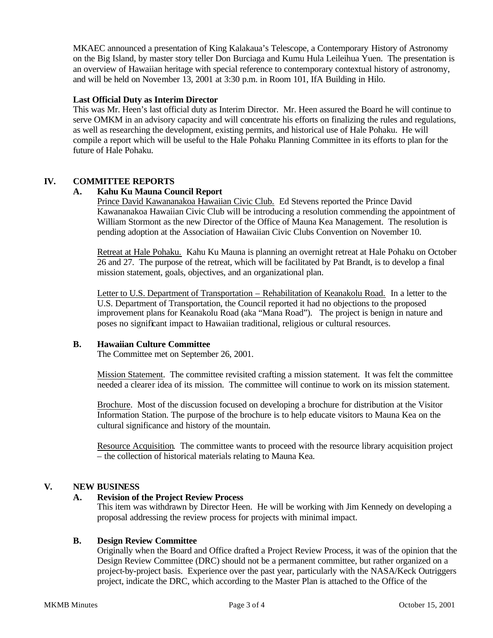MKAEC announced a presentation of King Kalakaua's Telescope, a Contemporary History of Astronomy on the Big Island, by master story teller Don Burciaga and Kumu Hula Leileihua Yuen. The presentation is an overview of Hawaiian heritage with special reference to contemporary contextual history of astronomy, and will be held on November 13, 2001 at 3:30 p.m. in Room 101, IfA Building in Hilo.

## **Last Official Duty as Interim Director**

This was Mr. Heen's last official duty as Interim Director. Mr. Heen assured the Board he will continue to serve OMKM in an advisory capacity and will concentrate his efforts on finalizing the rules and regulations, as well as researching the development, existing permits, and historical use of Hale Pohaku. He will compile a report which will be useful to the Hale Pohaku Planning Committee in its efforts to plan for the future of Hale Pohaku.

# **IV. COMMITTEE REPORTS**

## **A. Kahu Ku Mauna Council Report**

Prince David Kawananakoa Hawaiian Civic Club. Ed Stevens reported the Prince David Kawananakoa Hawaiian Civic Club will be introducing a resolution commending the appointment of William Stormont as the new Director of the Office of Mauna Kea Management. The resolution is pending adoption at the Association of Hawaiian Civic Clubs Convention on November 10.

Retreat at Hale Pohaku. Kahu Ku Mauna is planning an overnight retreat at Hale Pohaku on October 26 and 27. The purpose of the retreat, which will be facilitated by Pat Brandt, is to develop a final mission statement, goals, objectives, and an organizational plan.

Letter to U.S. Department of Transportation – Rehabilitation of Keanakolu Road. In a letter to the U.S. Department of Transportation, the Council reported it had no objections to the proposed improvement plans for Keanakolu Road (aka "Mana Road"). The project is benign in nature and poses no significant impact to Hawaiian traditional, religious or cultural resources.

### **B. Hawaiian Culture Committee**

The Committee met on September 26, 2001.

Mission Statement. The committee revisited crafting a mission statement. It was felt the committee needed a clearer idea of its mission. The committee will continue to work on its mission statement.

Brochure. Most of the discussion focused on developing a brochure for distribution at the Visitor Information Station. The purpose of the brochure is to help educate visitors to Mauna Kea on the cultural significance and history of the mountain.

Resource Acquisition. The committee wants to proceed with the resource library acquisition project – the collection of historical materials relating to Mauna Kea.

## **V. NEW BUSINESS**

## **A. Revision of the Project Review Process**

This item was withdrawn by Director Heen. He will be working with Jim Kennedy on developing a proposal addressing the review process for projects with minimal impact.

## **B. Design Review Committee**

Originally when the Board and Office drafted a Project Review Process, it was of the opinion that the Design Review Committee (DRC) should not be a permanent committee, but rather organized on a project-by-project basis. Experience over the past year, particularly with the NASA/Keck Outriggers project, indicate the DRC, which according to the Master Plan is attached to the Office of the